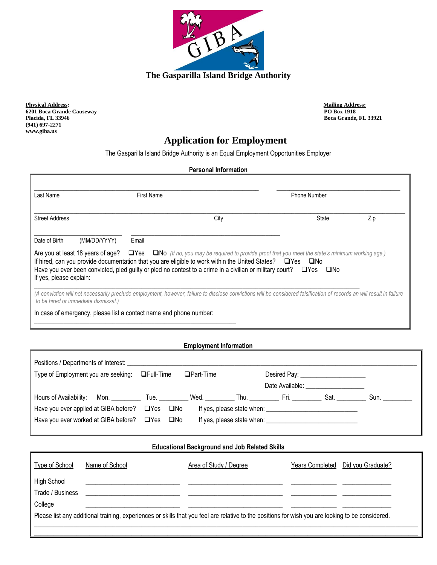

**Physical Address:** Mailing Address: Mailing Address: Mailing Address: Mailing Address: **Mailing Address: PO Box 1918 6201 Boca Grande Causeway<br>Placida, FL 33946 (941) 697-2271 www.giba.us**

**Placida, FL 33946 Boca Grande, FL 33921**

٦

# **Application for Employment**

The Gasparilla Island Bridge Authority is an Equal Employment Opportunities Employer

### **Personal Information**

| Last Name                            | <b>First Name</b>                                                                                                                                                                                                                                                                                                                                                                      | <b>Phone Number</b> |     |  |
|--------------------------------------|----------------------------------------------------------------------------------------------------------------------------------------------------------------------------------------------------------------------------------------------------------------------------------------------------------------------------------------------------------------------------------------|---------------------|-----|--|
| <b>Street Address</b>                | City                                                                                                                                                                                                                                                                                                                                                                                   | State               | Zip |  |
| Date of Birth<br>(MM/DD/YYYY)        | Email                                                                                                                                                                                                                                                                                                                                                                                  |                     |     |  |
| If yes, please explain:              | Are you at least 18 years of age? $\Box$ Yes $\Box$ No (If no, you may be required to provide proof that you meet the state's minimum working age.)<br>If hired, can you provide documentation that you are eligible to work within the United States? □Yes □No<br>Have you ever been convicted, pled guilty or pled no contest to a crime in a civilian or military court? $\Box$ Yes | □No                 |     |  |
|                                      |                                                                                                                                                                                                                                                                                                                                                                                        |                     |     |  |
| to be hired or immediate dismissal.) | (A conviction will not necessarily preclude employment, however, failure to disclose convictions will be considered falsification of records an will result in failure                                                                                                                                                                                                                 |                     |     |  |

## **Employment Information**

| Type of Employment you are seeking: □ Full-Time  | $\Box$ Part-Time |  | Desired Pay: _______________________ |      |
|--------------------------------------------------|------------------|--|--------------------------------------|------|
|                                                  |                  |  | Date Available: _________________    |      |
| Hours of Availability: Mon. Tue. Wed. Thu. Fri.  |                  |  | Sat.                                 | Sun. |
| Have you ever applied at GIBA before? □ Yes □ No |                  |  |                                      |      |
| Have you ever worked at GIBA before? □ Yes □ No  |                  |  |                                      |      |
|                                                  |                  |  |                                      |      |

#### **Educational Background and Job Related Skills**

| Type of School                  | Name of School | Area of Study / Degree                                                                                                                            | Years Completed | Did you Graduate? |
|---------------------------------|----------------|---------------------------------------------------------------------------------------------------------------------------------------------------|-----------------|-------------------|
| High School<br>Trade / Business |                |                                                                                                                                                   |                 |                   |
| College                         |                |                                                                                                                                                   |                 |                   |
|                                 |                | Please list any additional training, experiences or skills that you feel are relative to the positions for wish you are looking to be considered. |                 |                   |